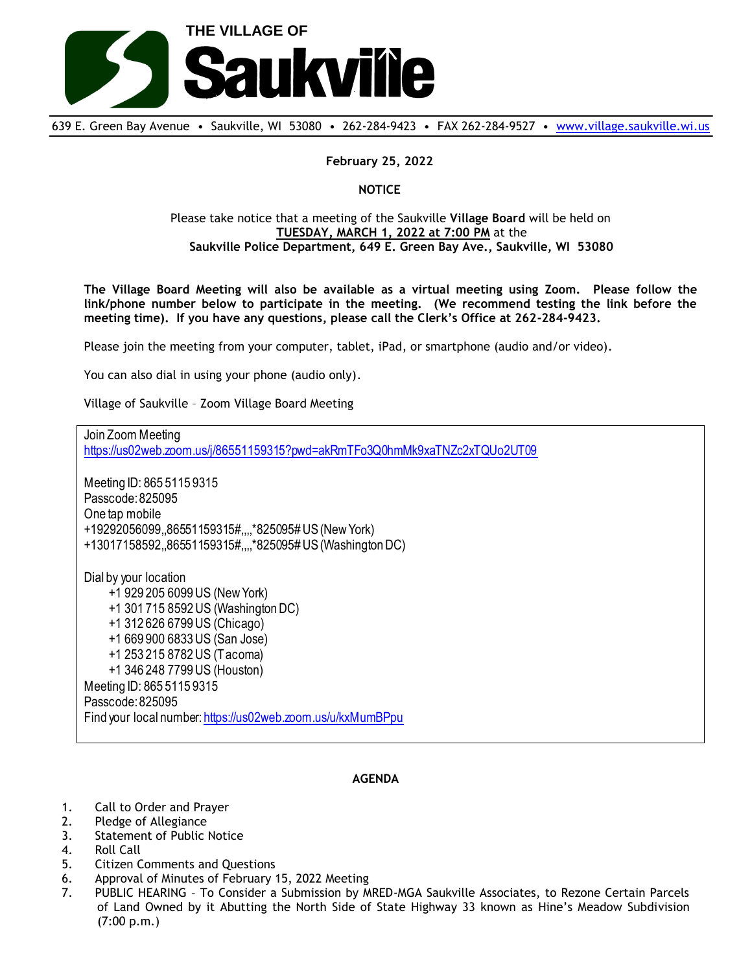

639 E. Green Bay Avenue • Saukville, WI 53080 • 262-284-9423 • FAX 262-284-9527 • [www.village.saukville.wi.us](http://www.village.saukville.wi.us/)

## **February 25, 2022**

**NOTICE**

## Please take notice that a meeting of the Saukville **Village Board** will be held on **TUESDAY, MARCH 1, 2022 at 7:00 PM** at the **Saukville Police Department, 649 E. Green Bay Ave., Saukville, WI 53080**

**The Village Board Meeting will also be available as a virtual meeting using Zoom. Please follow the link/phone number below to participate in the meeting. (We recommend testing the link before the meeting time). If you have any questions, please call the Clerk's Office at 262-284-9423.**

Please join the meeting from your computer, tablet, iPad, or smartphone (audio and/or video).

You can also dial in using your phone (audio only).

Village of Saukville – Zoom Village Board Meeting

Join Zoom Meeting https://us02web.zoom.us/j/86551159315?pwd=akRmTFo3Q0hmMk9xaTNZc2xTQUo2UT09 Meeting ID: 865 5115 9315 Passcode: 825095 One tap mobile +19292056099,,86551159315#,,,,\*825095# US (New York) +13017158592,,86551159315#,,,,\*825095# US (Washington DC) Dial by your location +1 929 205 6099 US (New York) +1 301 715 8592 US (Washington DC) +1 312 626 6799 US (Chicago) +1 669 900 6833 US (San Jose) +1 253 215 8782 US (Tacoma) +1 346 248 7799 US (Houston) Meeting ID: 865 5115 9315 Passcode: 825095 Find your local number: https://us02web.zoom.us/u/kxMumBPpu

## **AGENDA**

- 1. Call to Order and Prayer
- 2. Pledge of Allegiance
- 3. Statement of Public Notice
- 4. Roll Call
- 5. Citizen Comments and Questions
- 6. Approval of Minutes of February 15, 2022 Meeting
- 7. PUBLIC HEARING To Consider a Submission by MRED-MGA Saukville Associates, to Rezone Certain Parcels of Land Owned by it Abutting the North Side of State Highway 33 known as Hine's Meadow Subdivision (7:00 p.m.)